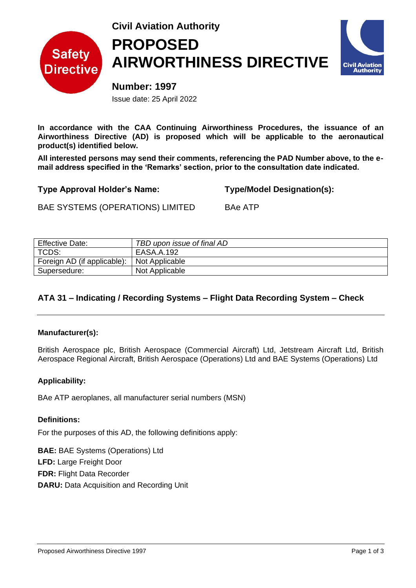

# **Civil Aviation Authority PROPOSED AIRWORTHINESS DIRECTIVE**



**Number: 1997** Issue date: 25 April 2022

**In accordance with the CAA Continuing Airworthiness Procedures, the issuance of an Airworthiness Directive (AD) is proposed which will be applicable to the aeronautical product(s) identified below.** 

**All interested persons may send their comments, referencing the PAD Number above, to the email address specified in the 'Remarks' section, prior to the consultation date indicated.**

**Type Approval Holder's Name: Type/Model Designation(s):**

BAE SYSTEMS (OPERATIONS) LIMITED BAe ATP

| <b>Effective Date:</b>      | TBD upon issue of final AD |
|-----------------------------|----------------------------|
| TCDS:                       | EASA.A.192                 |
| Foreign AD (if applicable): | Not Applicable             |
| Supersedure:                | Not Applicable             |

# **ATA 31 – Indicating / Recording Systems – Flight Data Recording System – Check**

# **Manufacturer(s):**

British Aerospace plc, British Aerospace (Commercial Aircraft) Ltd, Jetstream Aircraft Ltd, British Aerospace Regional Aircraft, British Aerospace (Operations) Ltd and BAE Systems (Operations) Ltd

# **Applicability:**

BAe ATP aeroplanes, all manufacturer serial numbers (MSN)

# **Definitions:**

For the purposes of this AD, the following definitions apply:

**BAE:** BAE Systems (Operations) Ltd **LFD:** Large Freight Door **FDR:** Flight Data Recorder **DARU:** Data Acquisition and Recording Unit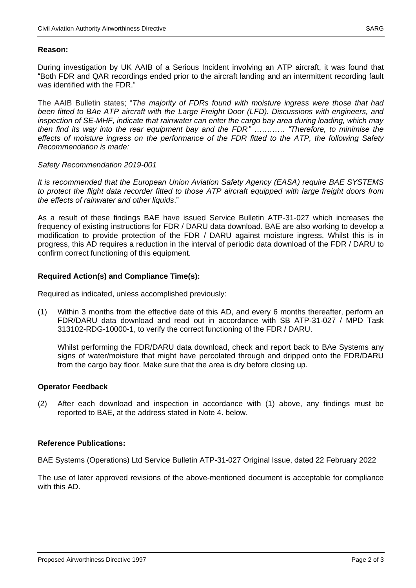# **Reason:**

During investigation by UK AAIB of a Serious Incident involving an ATP aircraft, it was found that "Both FDR and QAR recordings ended prior to the aircraft landing and an intermittent recording fault was identified with the FDR."

The AAIB Bulletin states; "*The majority of FDRs found with moisture ingress were those that had been fitted to BAe ATP aircraft with the Large Freight Door (LFD). Discussions with engineers, and inspection of SE-MHF, indicate that rainwater can enter the cargo bay area during loading, which may then find its way into the rear equipment bay and the FDR" ………… "Therefore, to minimise the effects of moisture ingress on the performance of the FDR fitted to the ATP, the following Safety Recommendation is made:* 

#### *Safety Recommendation 2019-001*

*It is recommended that the European Union Aviation Safety Agency (EASA) require BAE SYSTEMS to protect the flight data recorder fitted to those ATP aircraft equipped with large freight doors from the effects of rainwater and other liquids*."

As a result of these findings BAE have issued Service Bulletin ATP-31-027 which increases the frequency of existing instructions for FDR / DARU data download. BAE are also working to develop a modification to provide protection of the FDR / DARU against moisture ingress. Whilst this is in progress, this AD requires a reduction in the interval of periodic data download of the FDR / DARU to confirm correct functioning of this equipment.

# **Required Action(s) and Compliance Time(s):**

Required as indicated, unless accomplished previously:

(1) Within 3 months from the effective date of this AD, and every 6 months thereafter, perform an FDR/DARU data download and read out in accordance with SB ATP-31-027 / MPD Task 313102-RDG-10000-1, to verify the correct functioning of the FDR / DARU.

Whilst performing the FDR/DARU data download, check and report back to BAe Systems any signs of water/moisture that might have percolated through and dripped onto the FDR/DARU from the cargo bay floor. Make sure that the area is dry before closing up.

# **Operator Feedback**

(2) After each download and inspection in accordance with (1) above, any findings must be reported to BAE, at the address stated in Note 4. below.

# **Reference Publications:**

BAE Systems (Operations) Ltd Service Bulletin ATP-31-027 Original Issue, dated 22 February 2022

The use of later approved revisions of the above-mentioned document is acceptable for compliance with this AD.